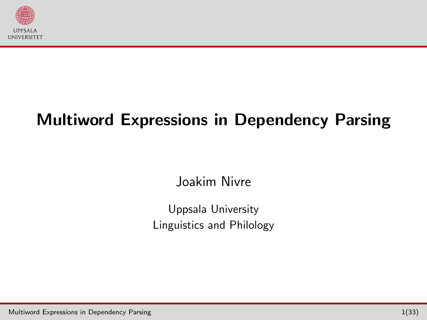

# Multiword Expressions in Dependency Parsing

<span id="page-0-0"></span>Joakim Nivre

Uppsala University Linguistics and Philology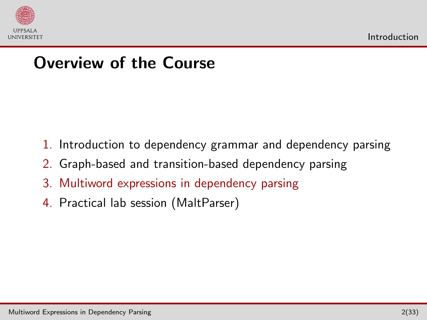

#### Overview of the Course

- 1. Introduction to dependency grammar and dependency parsing
- 2. Graph-based and transition-based dependency parsing
- 3. Multiword expressions in dependency parsing
- <span id="page-1-0"></span>4. Practical lab session (MaltParser)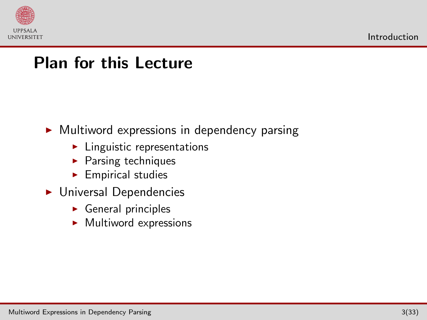

#### Plan for this Lecture

 $\triangleright$  Multiword expressions in dependency parsing

- $\blacktriangleright$  Linguistic representations
- $\blacktriangleright$  Parsing techniques
- $\blacktriangleright$  Empirical studies
- $\blacktriangleright$  Universal Dependencies
	- $\triangleright$  General principles
	- $\blacktriangleright$  Multiword expressions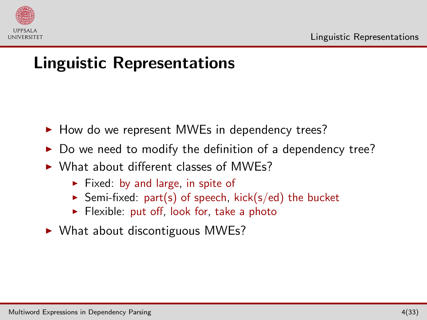

## Linguistic Representations

- $\blacktriangleright$  How do we represent MWEs in dependency trees?
- Do we need to modify the definition of a dependency tree?
- $\triangleright$  What about different classes of MWEs?
	- $\triangleright$  Fixed: by and large, in spite of
	- $\triangleright$  Semi-fixed: part(s) of speech, kick(s/ed) the bucket
	- $\blacktriangleright$  Flexible: put off, look for, take a photo
- <span id="page-3-0"></span> $\triangleright$  What about discontiguous MWEs?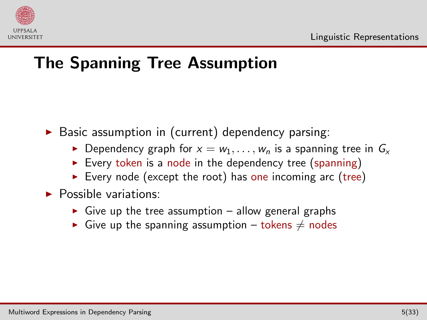

# The Spanning Tree Assumption

 $\triangleright$  Basic assumption in (current) dependency parsing:

- **Dependency graph for**  $x = w_1, \ldots, w_n$  is a spanning tree in  $G_x$
- Every token is a node in the dependency tree (spanning)
- Every node (except the root) has one incoming arc (tree)
- $\blacktriangleright$  Possible variations:
	- $\triangleright$  Give up the tree assumption allow general graphs
	- Give up the spanning assumption tokens  $\neq$  nodes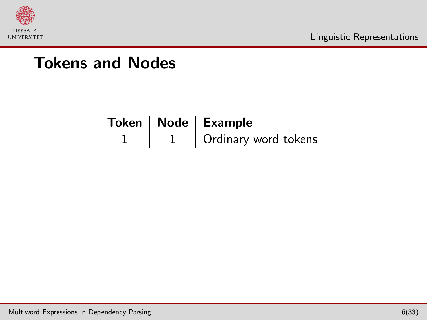

|  | Token   Node   Example |  |
|--|------------------------|--|
|  | Ordinary word tokens   |  |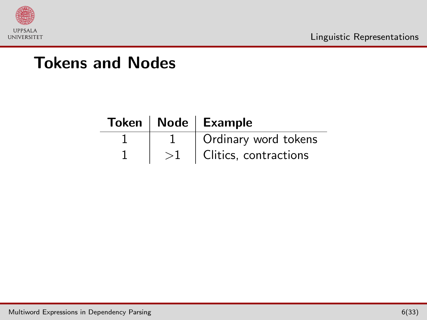

|  | Token   Node   Example |  |
|--|------------------------|--|
|  | Ordinary word tokens   |  |
|  | Clitics, contractions  |  |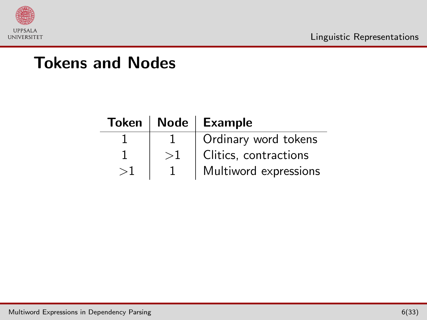

|    | Token   Node   Example |  |  |
|----|------------------------|--|--|
|    | Ordinary word tokens   |  |  |
| >1 | Clitics, contractions  |  |  |
|    | Multiword expressions  |  |  |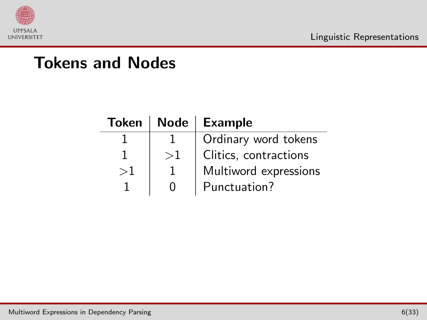

| <b>Token</b> |              | Node   Example        |  |
|--------------|--------------|-----------------------|--|
|              |              | Ordinary word tokens  |  |
|              | >1           | Clitics, contractions |  |
| >1           |              | Multiword expressions |  |
|              | $\mathbf{I}$ | Punctuation?          |  |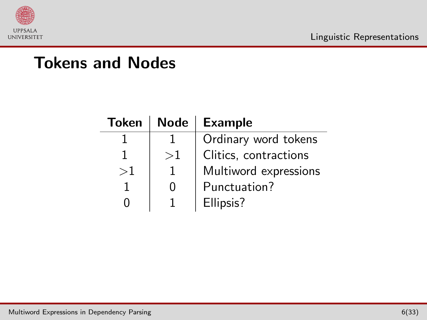

| <b>Token</b> | <b>Node</b> | <b>Example</b>        |  |  |
|--------------|-------------|-----------------------|--|--|
|              |             | Ordinary word tokens  |  |  |
|              | >1          | Clitics, contractions |  |  |
| >1           |             | Multiword expressions |  |  |
|              |             | Punctuation?          |  |  |
|              |             | Ellipsis?             |  |  |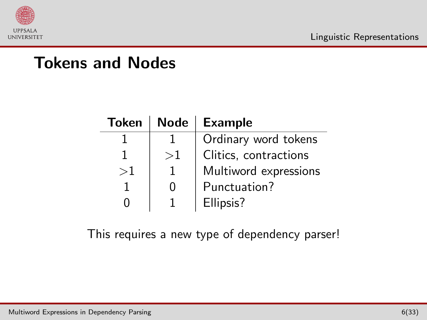

| <b>Token</b> | <b>Node</b> | <b>Example</b>        |  |  |
|--------------|-------------|-----------------------|--|--|
|              |             | Ordinary word tokens  |  |  |
|              | >1          | Clitics, contractions |  |  |
| >1           |             | Multiword expressions |  |  |
|              | 0           | Punctuation?          |  |  |
|              |             | Ellipsis?             |  |  |

This requires a new type of dependency parser!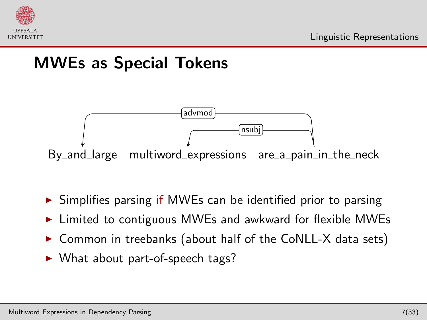

## MWEs as Special Tokens



- $\triangleright$  Simplifies parsing if MWEs can be identified prior to parsing
- Limited to contiguous MWEs and awkward for flexible MWEs
- $\triangleright$  Common in treebanks (about half of the CoNLL-X data sets)
- ▶ What about part-of-speech tags?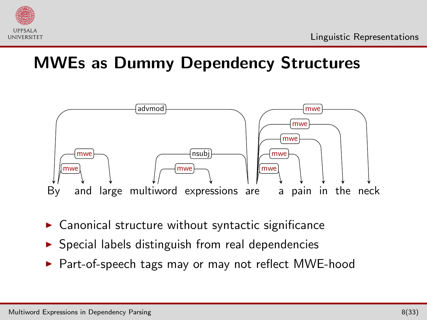

## MWEs as Dummy Dependency Structures



- $\blacktriangleright$  Canonical structure without syntactic significance
- $\triangleright$  Special labels distinguish from real dependencies
- ▶ Part-of-speech tags may or may not reflect MWE-hood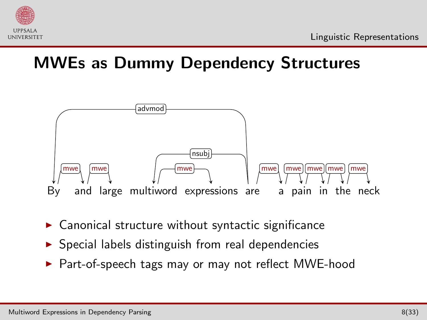

## MWEs as Dummy Dependency Structures



- $\blacktriangleright$  Canonical structure without syntactic significance
- $\triangleright$  Special labels distinguish from real dependencies
- ▶ Part-of-speech tags may or may not reflect MWE-hood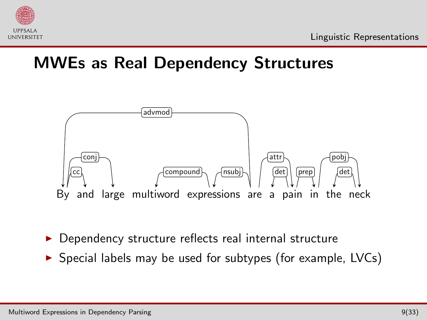

## MWEs as Real Dependency Structures



- Dependency structure reflects real internal structure
- $\triangleright$  Special labels may be used for subtypes (for example, LVCs)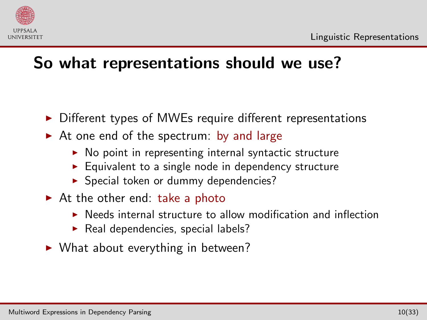

## So what representations should we use?

- $\triangleright$  Different types of MWEs require different representations
- $\triangleright$  At one end of the spectrum: by and large
	- $\triangleright$  No point in representing internal syntactic structure
	- $\blacktriangleright$  Equivalent to a single node in dependency structure
	- **>** Special token or dummy dependencies?
- $\triangleright$  At the other end: take a photo
	- $\triangleright$  Needs internal structure to allow modification and inflection
	- Real dependencies, special labels?
- $\triangleright$  What about everything in between?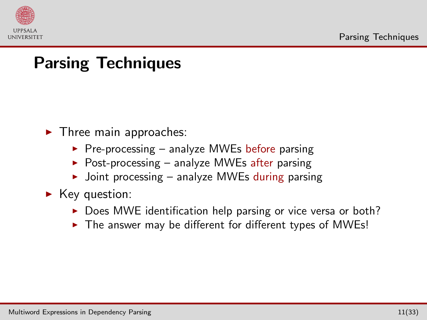

## Parsing Techniques

- $\blacktriangleright$  Three main approaches:
	- $\triangleright$  Pre-processing analyze MWEs before parsing
	- Post-processing analyze MWEs after parsing
	- $\rightarrow$  Joint processing analyze MWEs during parsing
- <span id="page-16-0"></span> $\blacktriangleright$  Key question:
	- $\triangleright$  Does MWE identification help parsing or vice versa or both?
	- $\triangleright$  The answer may be different for different types of MWEs!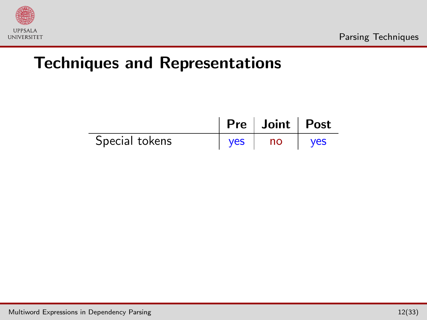

|                |            | Pre   Joint   Post |            |
|----------------|------------|--------------------|------------|
| Special tokens | <b>ves</b> | no                 | <b>ves</b> |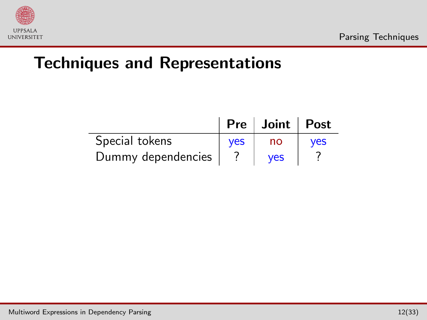

|                    |            | Pre   Joint   Post |            |
|--------------------|------------|--------------------|------------|
| Special tokens     | <b>ves</b> | no                 | <b>ves</b> |
| Dummy dependencies |            | <b>ves</b>         |            |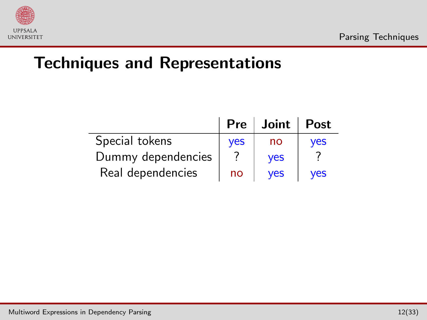

|                    | $Pre \,  $ | Joint      | <b>Post</b> |
|--------------------|------------|------------|-------------|
| Special tokens     | <b>ves</b> | no         | <b>ves</b>  |
| Dummy dependencies |            | <b>ves</b> |             |
| Real dependencies  | no         | <b>ves</b> | <b>ves</b>  |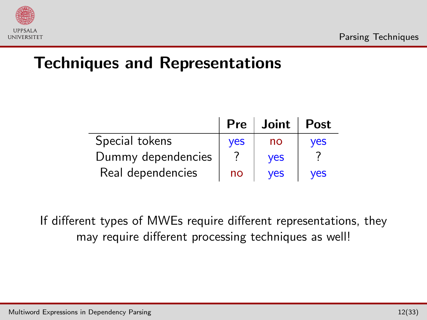

|                    | $Pre \perp$ | Joint      | <b>Post</b> |
|--------------------|-------------|------------|-------------|
| Special tokens     | <b>ves</b>  | no         | <b>ves</b>  |
| Dummy dependencies |             | <b>ves</b> |             |
| Real dependencies  | no          | <b>ves</b> | <b>ves</b>  |

If different types of MWEs require different representations, they may require different processing techniques as well!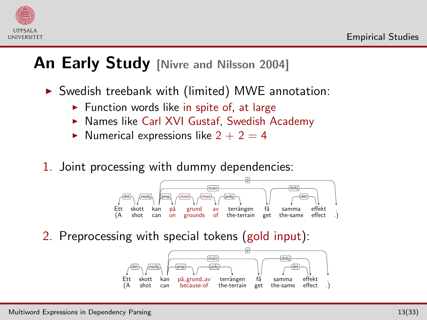

#### An Early Study [\[Nivre and Nilsson 2004\]](#page-48-0)

 $\triangleright$  Swedish treebank with (limited) MWE annotation:

- $\blacktriangleright$  Function words like in spite of, at large
- ▶ Names like Carl XVI Gustaf, Swedish Academy
- $\blacktriangleright$  Numerical expressions like 2 + 2 = 4
- 1. Joint processing with dummy dependencies:



2. Preprocessing with special tokens (gold input):

<span id="page-21-0"></span>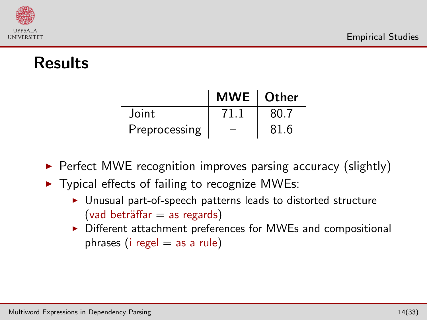

## Results

|               | $MWE$ Other              |      |
|---------------|--------------------------|------|
| Joint         | 71 1                     | 80.7 |
| Preprocessing | $\overline{\phantom{0}}$ | 81.6 |

 $\triangleright$  Perfect MWE recognition improves parsing accuracy (slightly)

- $\triangleright$  Typical effects of failing to recognize MWEs:
	- $\triangleright$  Unusual part-of-speech patterns leads to distorted structure  $(vad bertäffar = as regards)$
	- $\triangleright$  Different attachment preferences for MWEs and compositional phrases (i regel  $=$  as a rule)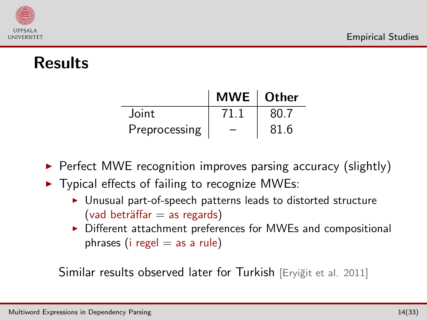

## Results

|               | MWE $\vert$ Other |      |
|---------------|-------------------|------|
| <b>Joint</b>  | 71 1              | 80.7 |
| Preprocessing |                   | 81.6 |

 $\triangleright$  Perfect MWE recognition improves parsing accuracy (slightly)

- $\triangleright$  Typical effects of failing to recognize MWEs:
	- $\triangleright$  Unusual part-of-speech patterns leads to distorted structure  $(vad bertäffar = as regards)$
	- $\triangleright$  Different attachment preferences for MWEs and compositional phrases (i regel  $=$  as a rule)

Similar results observed later for Turkish [Eryiğit et al. 2011]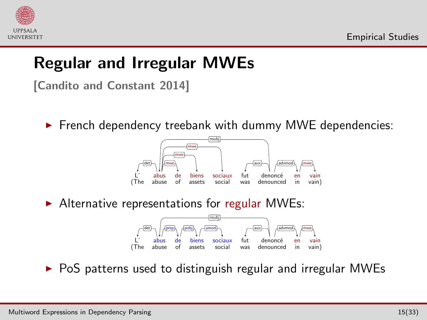

## Regular and Irregular MWEs

[\[Candito and Constant 2014\]](#page-48-2)

 $\triangleright$  French dependency treebank with dummy MWE dependencies:



 $\blacktriangleright$  Alternative representations for regular MWEs:



 $\triangleright$  PoS patterns used to distinguish regular and irregular MWEs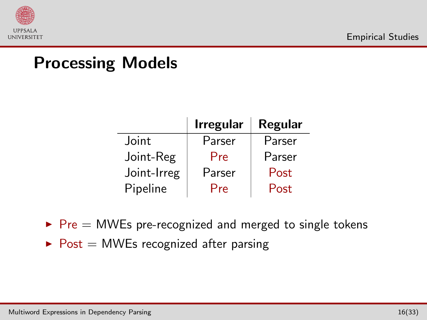

#### Processing Models

|             | <b>Irregular</b> | Regular |
|-------------|------------------|---------|
| Joint       | Parser           | Parser  |
| Joint-Reg   | Pre              | Parser  |
| Joint-Irreg | Parser           | Post    |
| Pipeline    | Pre              | Post    |

- $\triangleright$  Pre = MWEs pre-recognized and merged to single tokens
- $\triangleright$  Post = MWEs recognized after parsing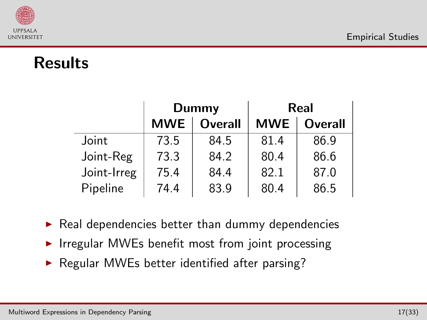

#### Results

|             | Dummy      |                | Real       |                |  |
|-------------|------------|----------------|------------|----------------|--|
|             | <b>MWE</b> | <b>Overall</b> | <b>MWE</b> | <b>Overall</b> |  |
| Joint       | 73.5       | 84.5           | 81.4       | 86.9           |  |
| Joint-Reg   | 73.3       | 84.2           | 80.4       | 86.6           |  |
| Joint-Irreg | 75.4       | 84.4           | 82.1       | 87.0           |  |
| Pipeline    | 74.4       | 83.9           | 80.4       | 86.5           |  |

 $\blacktriangleright$  Real dependencies better than dummy dependencies

- $\triangleright$  Irregular MWEs benefit most from joint processing
- $\triangleright$  Regular MWEs better identified after parsing?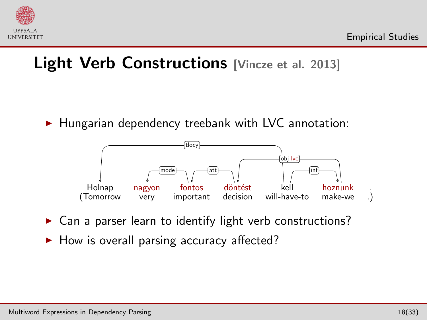

#### Light Verb Constructions [\[Vincze et al. 2013\]](#page-49-0)

 $\blacktriangleright$  Hungarian dependency treebank with LVC annotation:



- $\triangleright$  Can a parser learn to identify light verb constructions?
- $\blacktriangleright$  How is overall parsing accuracy affected?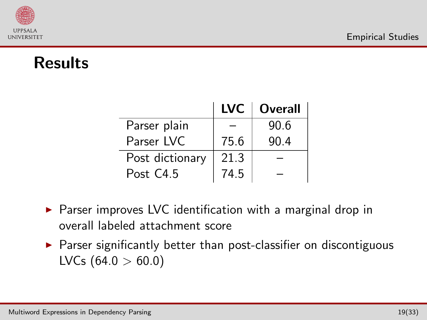

## Results

|                 | <b>LVC</b> | <b>Overall</b> |
|-----------------|------------|----------------|
| Parser plain    |            | 90.6           |
| Parser IVC      | 75.6       | 90.4           |
| Post dictionary | 21.3       |                |
| Post C4.5       | 74.5       |                |

- $\triangleright$  Parser improves LVC identification with a marginal drop in overall labeled attachment score
- $\triangleright$  Parser significantly better than post-classifier on discontiguous LVCs  $(64.0 > 60.0)$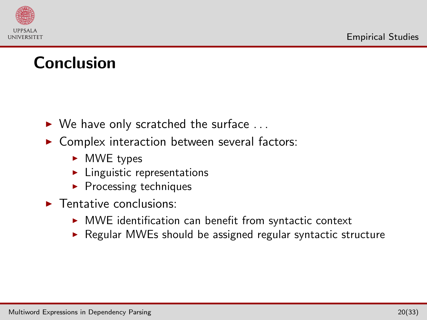

#### Conclusion

- $\triangleright$  We have only scratched the surface ...
- $\triangleright$  Complex interaction between several factors:
	- $\triangleright$  MWE types
	- $\blacktriangleright$  Linguistic representations
	- $\blacktriangleright$  Processing techniques
- $\blacktriangleright$  Tentative conclusions:
	- $\triangleright$  MWE identification can benefit from syntactic context
	- $\triangleright$  Regular MWEs should be assigned regular syntactic structure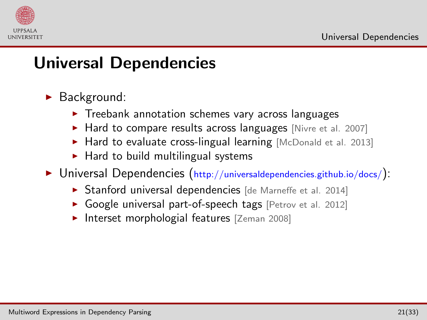

- $\blacktriangleright$  Background:
	- $\triangleright$  Treebank annotation schemes vary across languages
	- Hard to compare results across languages [\[Nivre et al. 2007\]](#page-49-1)
	- $\blacktriangleright$  Hard to evaluate cross-lingual learning [\[McDonald et al. 2013\]](#page-48-3)
	- $\blacktriangleright$  Hard to build multilingual systems
- <span id="page-30-0"></span> $\triangleright$  Universal Dependencies (http://universaldependencies.github.io/docs/):
	- ▶ Stanford universal dependencies [\[de Marneffe et al. 2014\]](#page-48-4)
	- Google universal part-of-speech tags [\[Petrov et al. 2012\]](#page-49-2)
	- Interset morphologial features [\[Zeman 2008\]](#page-49-3)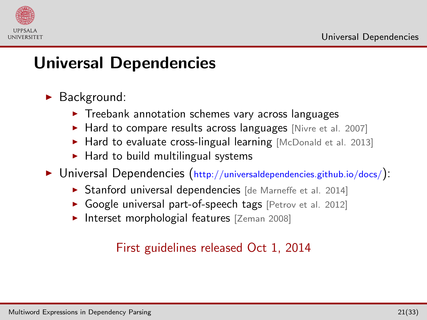

- $\blacktriangleright$  Background:
	- $\triangleright$  Treebank annotation schemes vary across languages
	- Hard to compare results across languages [\[Nivre et al. 2007\]](#page-49-1)
	- $\blacktriangleright$  Hard to evaluate cross-lingual learning [\[McDonald et al. 2013\]](#page-48-3)
	- $\blacktriangleright$  Hard to build multilingual systems
- $\triangleright$  Universal Dependencies (http://universaldependencies.github.io/docs/):
	- ▶ Stanford universal dependencies [\[de Marneffe et al. 2014\]](#page-48-4)
	- Google universal part-of-speech tags [\[Petrov et al. 2012\]](#page-49-2)
	- Interset morphologial features [\[Zeman 2008\]](#page-49-3)

#### First guidelines released Oct 1, 2014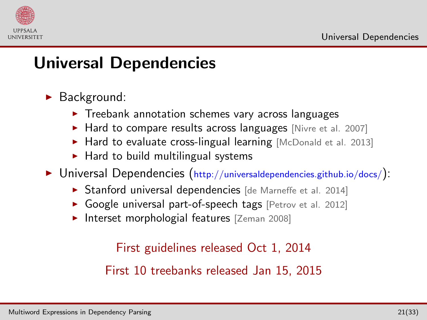

- $\blacktriangleright$  Background:
	- $\triangleright$  Treebank annotation schemes vary across languages
	- Hard to compare results across languages [\[Nivre et al. 2007\]](#page-49-1)
	- $\blacktriangleright$  Hard to evaluate cross-lingual learning [\[McDonald et al. 2013\]](#page-48-3)
	- $\blacktriangleright$  Hard to build multilingual systems
- $\triangleright$  Universal Dependencies (http://universaldependencies.github.io/docs/):
	- ▶ Stanford universal dependencies [\[de Marneffe et al. 2014\]](#page-48-4)
	- Google universal part-of-speech tags [\[Petrov et al. 2012\]](#page-49-2)
	- Interset morphologial features [\[Zeman 2008\]](#page-49-3)

First guidelines released Oct 1, 2014

First 10 treebanks released Jan 15, 2015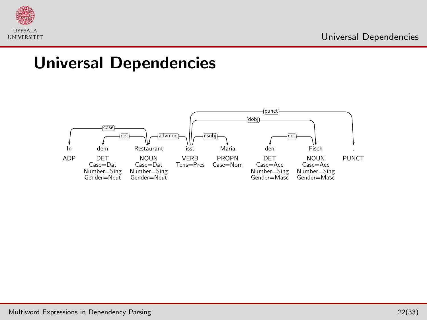

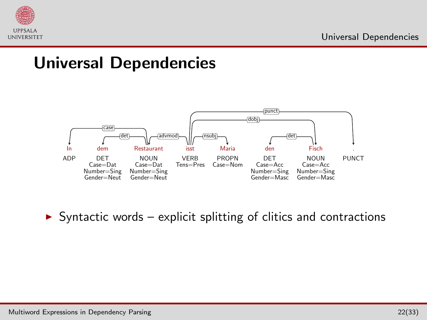



 $\triangleright$  Syntactic words – explicit splitting of clitics and contractions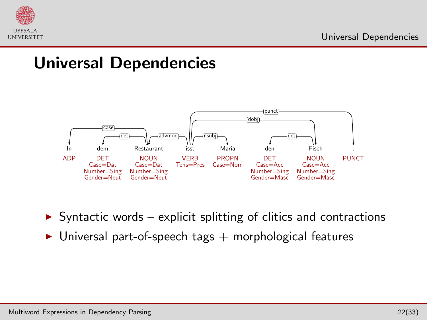



- $\triangleright$  Syntactic words explicit splitting of clitics and contractions
- $\triangleright$  Universal part-of-speech tags  $+$  morphological features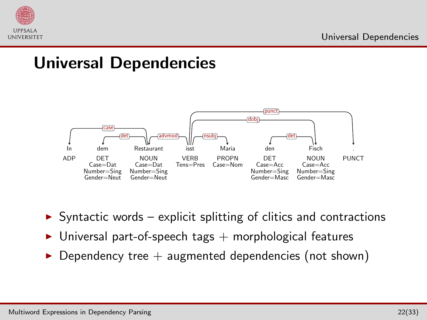



- $\triangleright$  Syntactic words explicit splitting of clitics and contractions
- $\triangleright$  Universal part-of-speech tags  $+$  morphological features
- $\triangleright$  Dependency tree  $+$  augmented dependencies (not shown)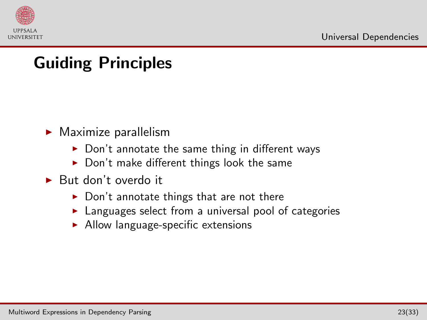

# Guiding Principles

- $\blacktriangleright$  Maximize parallelism
	- $\triangleright$  Don't annotate the same thing in different ways
	- $\blacktriangleright$  Don't make different things look the same
- $\blacktriangleright$  But don't overdo it
	- $\triangleright$  Don't annotate things that are not there
	- $\blacktriangleright$  Languages select from a universal pool of categories
	- $\blacktriangleright$  Allow language-specific extensions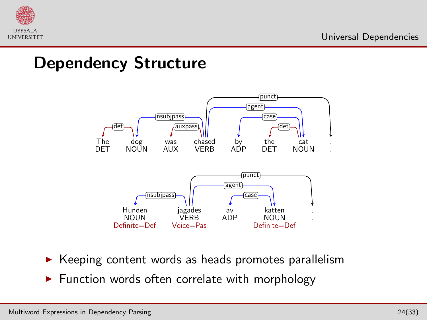

#### Dependency Structure



- $\triangleright$  Keeping content words as heads promotes parallelism
- $\blacktriangleright$  Function words often correlate with morphology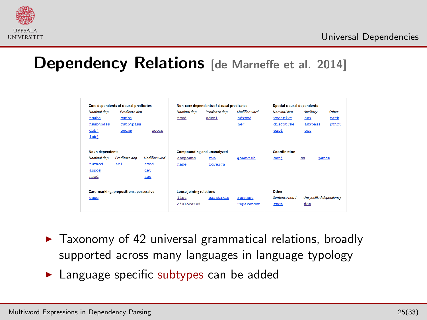

#### **Dependency Relations** [\[de Marneffe et al. 2014\]](#page-48-4)

| Nominal dep<br>nsub1<br>nsubjpass<br>dob <sup>1</sup><br>iobj    | Core dependents of clausal predicates<br>Predicate dep<br>csub1<br>csubjpass<br>ccomp | xcomp                                      | Nominal dep<br>nmod                                  | Non-core dependents of clausal predicates<br>Predicate dep<br>advcl | Modifier word<br>advmod<br>neg | <b>Special clausal dependents</b><br>Nominal dep<br>vocative<br>discourse<br>expl | Auxiliary<br>aux<br>auxpass<br>cop | Other<br>mark<br>punct |
|------------------------------------------------------------------|---------------------------------------------------------------------------------------|--------------------------------------------|------------------------------------------------------|---------------------------------------------------------------------|--------------------------------|-----------------------------------------------------------------------------------|------------------------------------|------------------------|
| <b>Noun dependents</b><br>Nominal dep<br>nummod<br>appos<br>nmod | Predicate dep<br>acl                                                                  | <b>Modifier</b> word<br>amod<br>det<br>neq | compound<br>name                                     | Compounding and unanalyzed<br>mve<br>foreign                        | goeswith                       | Coordination<br>con <sub>1</sub>                                                  | $_{cc}$<br>punct                   |                        |
| case                                                             | Case-marking, prepositions, possessive                                                |                                            | <b>Loose joining relations</b><br>list<br>dislocated | parataxis                                                           | remnant<br>reparandum          | Other<br>Sentence head<br>root                                                    | Unspecified dependency<br>dep      |                        |

- $\blacktriangleright$  Taxonomy of 42 universal grammatical relations, broadly supported across many languages in language typology
- **>** Language specific subtypes can be added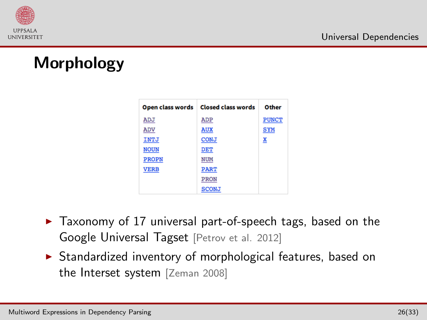

## Morphology

| Open class words | <b>Closed class words</b> | Other        |
|------------------|---------------------------|--------------|
| ADJ              | ADP                       | <b>PUNCT</b> |
| ADV              | <b>AUX</b>                | <b>SYM</b>   |
| INTJ             | <b>CONJ</b>               | X            |
| <b>NOUN</b>      | <b>DET</b>                |              |
| <b>PROPN</b>     | <b>NUM</b>                |              |
| <b>VERB</b>      | <b>PART</b>               |              |
|                  | <b>PRON</b>               |              |
|                  | <b>SCONJ</b>              |              |

- $\blacktriangleright$  Taxonomy of 17 universal part-of-speech tags, based on the Google Universal Tagset [\[Petrov et al. 2012\]](#page-49-2)
- $\triangleright$  Standardized inventory of morphological features, based on the Interset system [\[Zeman 2008\]](#page-49-3)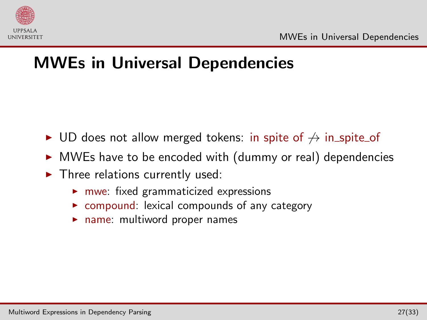

## MWEs in Universal Dependencies

- ► UD does not allow merged tokens: in spite of  $\rightarrow$  in spite of
- $\triangleright$  MWEs have to be encoded with (dummy or real) dependencies
- <span id="page-41-0"></span> $\blacktriangleright$  Three relations currently used:
	- $\blacktriangleright$  mwe: fixed grammaticized expressions
	- $\triangleright$  compound: lexical compounds of any category
	- $\blacktriangleright$  name: multiword proper names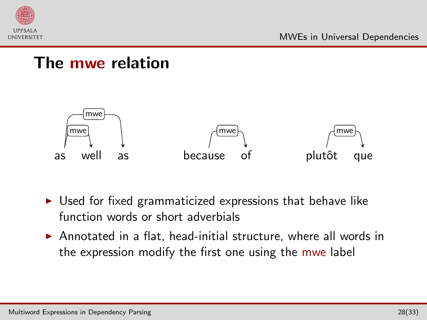

#### The mwe relation



- $\triangleright$  Used for fixed grammaticized expressions that behave like function words or short adverbials
- $\triangleright$  Annotated in a flat, head-initial structure, where all words in the expression modify the first one using the mwe label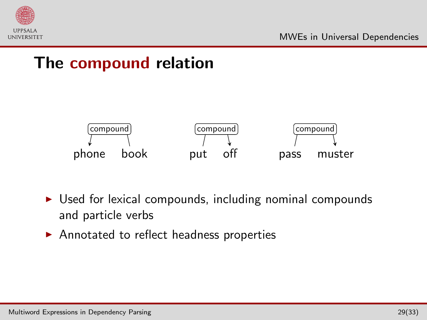

#### The compound relation



- $\triangleright$  Used for lexical compounds, including nominal compounds and particle verbs
- $\blacktriangleright$  Annotated to reflect headness properties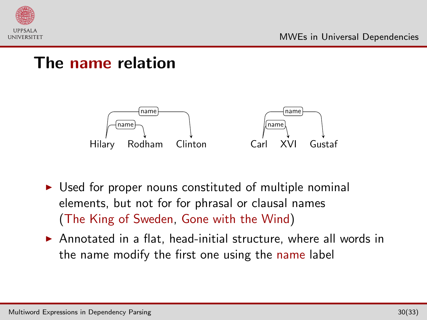

#### The name relation



- $\triangleright$  Used for proper nouns constituted of multiple nominal elements, but not for for phrasal or clausal names (The King of Sweden, Gone with the Wind)
- $\triangleright$  Annotated in a flat, head-initial structure, where all words in the name modify the first one using the name label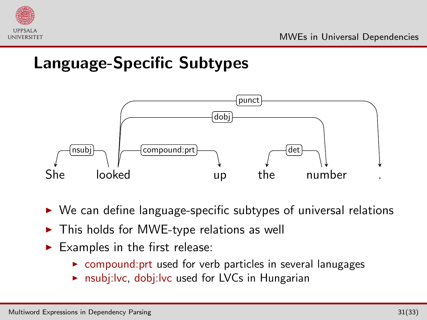

## Language-Specific Subtypes



- $\triangleright$  We can define language-specific subtypes of universal relations
- $\triangleright$  This holds for MWE-type relations as well
- $\blacktriangleright$  Examples in the first release:
	- $\triangleright$  compound: prt used for verb particles in several lanugages
	- $\triangleright$  nsubj:lvc, dobj:lvc used for LVCs in Hungarian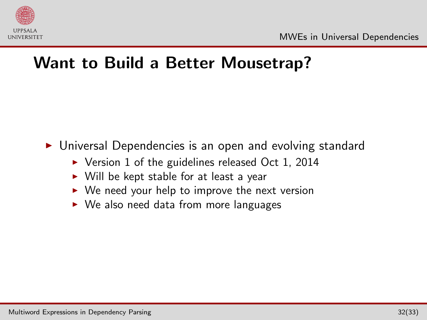

#### Want to Build a Better Mousetrap?

▶ Universal Dependencies is an open and evolving standard

- $\triangleright$  Version 1 of the guidelines released Oct 1, 2014
- $\triangleright$  Will be kept stable for at least a year
- $\triangleright$  We need your help to improve the next version
- $\triangleright$  We also need data from more languages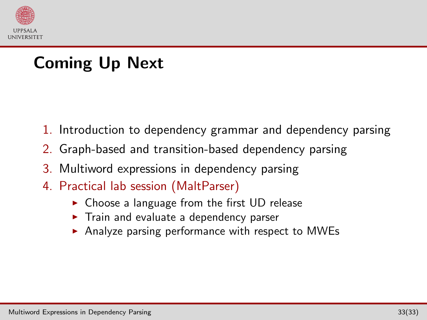

## Coming Up Next

- 1. Introduction to dependency grammar and dependency parsing
- 2. Graph-based and transition-based dependency parsing
- 3. Multiword expressions in dependency parsing
- <span id="page-47-0"></span>4. Practical lab session (MaltParser)
	- $\triangleright$  Choose a language from the first UD release
	- $\triangleright$  Train and evaluate a dependency parser
	- $\triangleright$  Analyze parsing performance with respect to MWEs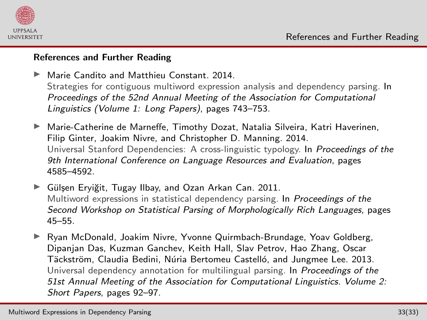<span id="page-48-5"></span>



#### References and Further Reading

- <span id="page-48-2"></span> $\blacktriangleright$  Marie Candito and Matthieu Constant. 2014. Strategies for contiguous multiword expression analysis and dependency parsing. In Proceedings of the 52nd Annual Meeting of the Association for Computational Linguistics (Volume 1: Long Papers), pages 743–753.
- <span id="page-48-4"></span>Marie-Catherine de Marneffe, Timothy Dozat, Natalia Silveira, Katri Haverinen, Filip Ginter, Joakim Nivre, and Christopher D. Manning. 2014. Universal Stanford Dependencies: A cross-linguistic typology. In Proceedings of the 9th International Conference on Language Resources and Evaluation, pages 4585–4592.
- <span id="page-48-1"></span>► Gülsen Eryiğit, Tugay Ilbay, and Ozan Arkan Can. 2011. Multiword expressions in statistical dependency parsing. In Proceedings of the Second Workshop on Statistical Parsing of Morphologically Rich Languages, pages 45–55.
- <span id="page-48-3"></span><span id="page-48-0"></span>I Ryan McDonald, Joakim Nivre, Yvonne Quirmbach-Brundage, Yoav Goldberg, Dipanjan Das, Kuzman Ganchev, Keith Hall, Slav Petrov, Hao Zhang, Oscar Täckström, Claudia Bedini, Núria Bertomeu Castelló, and Jungmee Lee. 2013. Universal dependency annotation for multilingual parsing. In Proceedings of the 51st Annual Meeting of the Association for Computational Linguistics. Volume 2: Short Papers, pages 92–97.